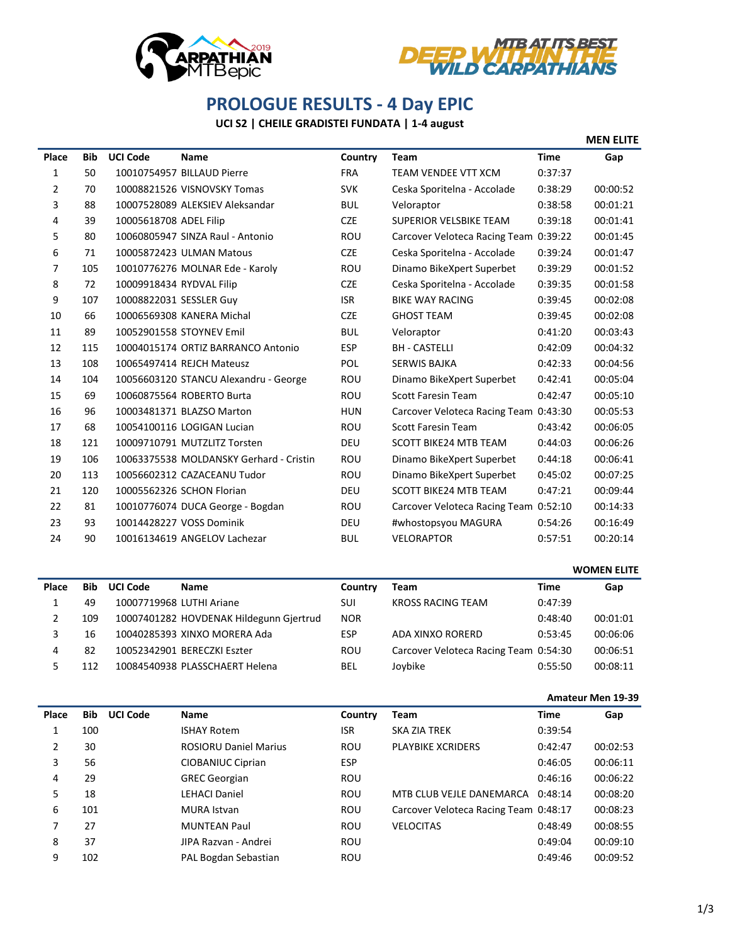



## **PROLOGUE RESULTS - 4 Day EPIC**

## **UCI S2 | CHEILE GRADISTEI FUNDATA | 1-4 august**

|       |            |                          |                                         |            |                                       |             | <b>MEN ELITE</b> |
|-------|------------|--------------------------|-----------------------------------------|------------|---------------------------------------|-------------|------------------|
| Place | <b>Bib</b> | <b>UCI Code</b>          | <b>Name</b>                             | Country    | <b>Team</b>                           | <b>Time</b> | Gap              |
| 1     | 50         |                          | 10010754957 BILLAUD Pierre              | <b>FRA</b> | <b>TEAM VENDEE VTT XCM</b>            | 0:37:37     |                  |
| 2     | 70         |                          | 10008821526 VISNOVSKY Tomas             | <b>SVK</b> | Ceska Sporitelna - Accolade           | 0:38:29     | 00:00:52         |
| 3     | 88         |                          | 10007528089 ALEKSIEV Aleksandar         | <b>BUL</b> | Veloraptor                            | 0:38:58     | 00:01:21         |
| 4     | 39         | 10005618708 ADEL Filip   |                                         | <b>CZE</b> | <b>SUPERIOR VELSBIKE TEAM</b>         | 0:39:18     | 00:01:41         |
| 5     | 80         |                          | 10060805947 SINZA Raul - Antonio        | ROU        | Carcover Veloteca Racing Team 0:39:22 |             | 00:01:45         |
| 6     | 71         |                          | 10005872423 ULMAN Matous                | <b>CZE</b> | Ceska Sporitelna - Accolade           | 0:39:24     | 00:01:47         |
| 7     | 105        |                          | 10010776276 MOLNAR Ede - Karoly         | <b>ROU</b> | Dinamo BikeXpert Superbet             | 0:39:29     | 00:01:52         |
| 8     | 72         | 10009918434 RYDVAL Filip |                                         | <b>CZE</b> | Ceska Sporitelna - Accolade           | 0:39:35     | 00:01:58         |
| 9     | 107        | 10008822031 SESSLER Guy  |                                         | <b>ISR</b> | <b>BIKE WAY RACING</b>                | 0:39:45     | 00:02:08         |
| 10    | 66         |                          | 10006569308 KANERA Michal               | <b>CZE</b> | <b>GHOST TEAM</b>                     | 0:39:45     | 00:02:08         |
| 11    | 89         |                          | 10052901558 STOYNEV Emil                | <b>BUL</b> | Veloraptor                            | 0:41:20     | 00:03:43         |
| 12    | 115        |                          | 10004015174 ORTIZ BARRANCO Antonio      | <b>ESP</b> | <b>BH - CASTELLI</b>                  | 0:42:09     | 00:04:32         |
| 13    | 108        |                          | 10065497414 REJCH Mateusz               | <b>POL</b> | <b>SERWIS BAJKA</b>                   | 0:42:33     | 00:04:56         |
| 14    | 104        |                          | 10056603120 STANCU Alexandru - George   | ROU        | Dinamo BikeXpert Superbet             | 0:42:41     | 00:05:04         |
| 15    | 69         |                          | 10060875564 ROBERTO Burta               | <b>ROU</b> | <b>Scott Faresin Team</b>             | 0:42:47     | 00:05:10         |
| 16    | 96         |                          | 10003481371 BLAZSO Marton               | <b>HUN</b> | Carcover Veloteca Racing Team 0:43:30 |             | 00:05:53         |
| 17    | 68         |                          | 10054100116 LOGIGAN Lucian              | <b>ROU</b> | <b>Scott Faresin Team</b>             | 0:43:42     | 00:06:05         |
| 18    | 121        |                          | 10009710791 MUTZLITZ Torsten            | <b>DEU</b> | <b>SCOTT BIKE24 MTB TEAM</b>          | 0:44:03     | 00:06:26         |
| 19    | 106        |                          | 10063375538 MOLDANSKY Gerhard - Cristin | ROU        | Dinamo BikeXpert Superbet             | 0:44:18     | 00:06:41         |
| 20    | 113        |                          | 10056602312 CAZACEANU Tudor             | <b>ROU</b> | Dinamo BikeXpert Superbet             | 0:45:02     | 00:07:25         |
| 21    | 120        |                          | 10005562326 SCHON Florian               | <b>DEU</b> | <b>SCOTT BIKE24 MTB TEAM</b>          | 0:47:21     | 00:09:44         |
| 22    | 81         |                          | 10010776074 DUCA George - Bogdan        | <b>ROU</b> | Carcover Veloteca Racing Team 0:52:10 |             | 00:14:33         |
| 23    | 93         |                          | 10014428227 VOSS Dominik                | <b>DEU</b> | #whostopsyou MAGURA                   | 0:54:26     | 00:16:49         |
| 24    | 90         |                          | 10016134619 ANGELOV Lachezar            | <b>BUL</b> | <b>VELORAPTOR</b>                     | 0:57:51     | 00:20:14         |

|       |            |                          |                                         |            |                                       | <b>WOMEN ELITE</b> |          |  |
|-------|------------|--------------------------|-----------------------------------------|------------|---------------------------------------|--------------------|----------|--|
| Place | <b>Bib</b> | <b>UCI Code</b>          | <b>Name</b>                             | Country    | Team                                  | Time               | Gap      |  |
|       | 49         | 10007719968 LUTHI Ariane |                                         | SUI        | <b>KROSS RACING TEAM</b>              | 0:47:39            |          |  |
|       | 109        |                          | 10007401282 HOVDENAK Hildegunn Gjertrud | <b>NOR</b> |                                       | 0:48:40            | 00:01:01 |  |
|       | 16         |                          | 10040285393 XINXO MORERA Ada            | <b>ESP</b> | ADA XINXO RORERD                      | 0:53:45            | 00:06:06 |  |
| 4     | 82         |                          | 10052342901 BERECZKI Eszter             | ROU        | Carcover Veloteca Racing Team 0:54:30 |                    | 00:06:51 |  |
|       | 112        |                          | 10084540938 PLASSCHAERT Helena          | BEL        | Joybike                               | 0:55:50            | 00:08:11 |  |

|       |            |                 |                              |            |                                       | <b>Amateur Men 19-39</b> |          |  |
|-------|------------|-----------------|------------------------------|------------|---------------------------------------|--------------------------|----------|--|
| Place | <b>Bib</b> | <b>UCI Code</b> | <b>Name</b>                  | Country    | Team                                  | <b>Time</b>              | Gap      |  |
|       | 100        |                 | <b>ISHAY Rotem</b>           | <b>ISR</b> | SKA ZIA TREK                          | 0:39:54                  |          |  |
| 2     | 30         |                 | <b>ROSIORU Daniel Marius</b> | ROU        | <b>PLAYBIKE XCRIDERS</b>              | 0:42:47                  | 00:02:53 |  |
| 3     | 56         |                 | CIOBANIUC Ciprian            | <b>ESP</b> |                                       | 0:46:05                  | 00:06:11 |  |
| 4     | 29         |                 | <b>GREC Georgian</b>         | <b>ROU</b> |                                       | 0:46:16                  | 00:06:22 |  |
| 5     | 18         |                 | <b>LEHACI Daniel</b>         | <b>ROU</b> | MTB CLUB VEJLE DANEMARCA              | 0:48:14                  | 00:08:20 |  |
| 6     | 101        |                 | <b>MURA</b> Istvan           | ROU        | Carcover Veloteca Racing Team 0:48:17 |                          | 00:08:23 |  |
|       | 27         |                 | <b>MUNTEAN Paul</b>          | <b>ROU</b> | <b>VELOCITAS</b>                      | 0:48:49                  | 00:08:55 |  |
| 8     | 37         |                 | JIPA Razvan - Andrei         | <b>ROU</b> |                                       | 0:49:04                  | 00:09:10 |  |
| 9     | 102        |                 | PAL Bogdan Sebastian         | <b>ROU</b> |                                       | 0:49:46                  | 00:09:52 |  |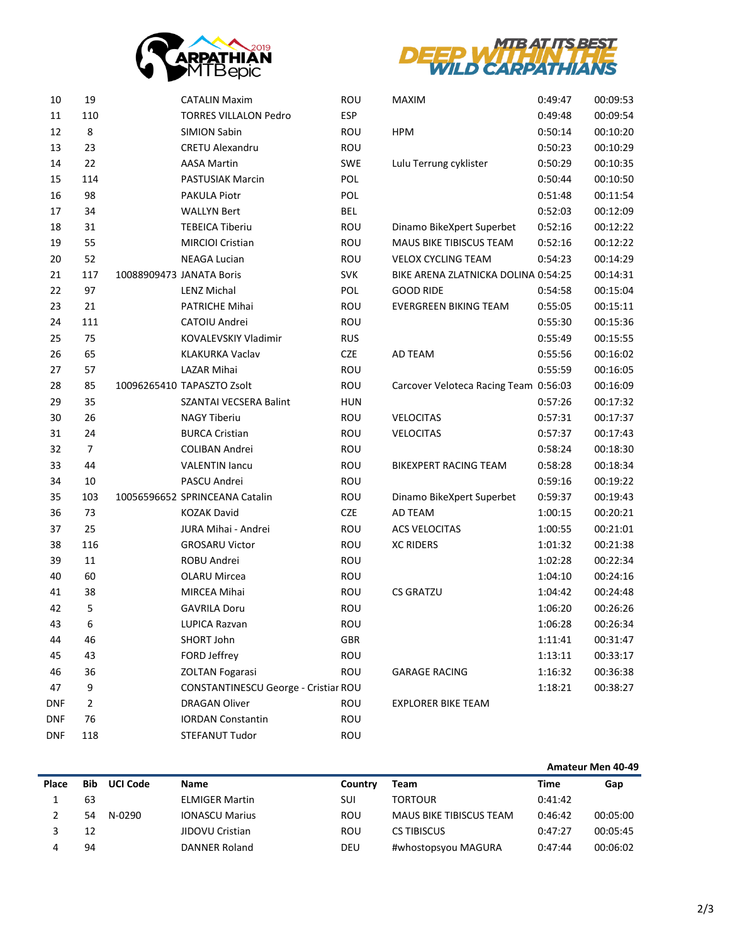



| 10         | 19             | <b>CATALIN Maxim</b>                 | ROU        | MAXIM                                 | 0:49:47 | 00:09:53 |
|------------|----------------|--------------------------------------|------------|---------------------------------------|---------|----------|
| 11         | 110            | <b>TORRES VILLALON Pedro</b>         | <b>ESP</b> |                                       | 0:49:48 | 00:09:54 |
| 12         | 8              | <b>SIMION Sabin</b>                  | ROU        | <b>HPM</b>                            | 0:50:14 | 00:10:20 |
| 13         | 23             | <b>CRETU Alexandru</b>               | ROU        |                                       | 0:50:23 | 00:10:29 |
| 14         | 22             | <b>AASA Martin</b>                   | SWE        | Lulu Terrung cyklister                | 0:50:29 | 00:10:35 |
| 15         | 114            | PASTUSIAK Marcin                     | POL        |                                       | 0:50:44 | 00:10:50 |
| 16         | 98             | PAKULA Piotr                         | POL        |                                       | 0:51:48 | 00:11:54 |
| 17         | 34             | <b>WALLYN Bert</b>                   | BEL        |                                       | 0:52:03 | 00:12:09 |
| 18         | 31             | <b>TEBEICA Tiberiu</b>               | ROU        | Dinamo BikeXpert Superbet             | 0:52:16 | 00:12:22 |
| 19         | 55             | <b>MIRCIOI Cristian</b>              | ROU        | <b>MAUS BIKE TIBISCUS TEAM</b>        | 0:52:16 | 00:12:22 |
| 20         | 52             | <b>NEAGA Lucian</b>                  | ROU        | <b>VELOX CYCLING TEAM</b>             | 0:54:23 | 00:14:29 |
| 21         | 117            | 10088909473 JANATA Boris             | <b>SVK</b> | BIKE ARENA ZLATNICKA DOLINA 0:54:25   |         | 00:14:31 |
| 22         | 97             | <b>LENZ Michal</b>                   | POL        | <b>GOOD RIDE</b>                      | 0:54:58 | 00:15:04 |
| 23         | 21             | PATRICHE Mihai                       | ROU        | EVERGREEN BIKING TEAM                 | 0:55:05 | 00:15:11 |
| 24         | 111            | CATOIU Andrei                        | ROU        |                                       | 0:55:30 | 00:15:36 |
| 25         | 75             | KOVALEVSKIY Vladimir                 | <b>RUS</b> |                                       | 0:55:49 | 00:15:55 |
| 26         | 65             | <b>KLAKURKA Vaclav</b>               | CZE        | AD TEAM                               | 0:55:56 | 00:16:02 |
| 27         | 57             | <b>LAZAR Mihai</b>                   | ROU        |                                       | 0:55:59 | 00:16:05 |
| 28         | 85             | 10096265410 TAPASZTO Zsolt           | ROU        | Carcover Veloteca Racing Team 0:56:03 |         | 00:16:09 |
| 29         | 35             | SZANTAI VECSERA Balint               | <b>HUN</b> |                                       | 0:57:26 | 00:17:32 |
| 30         | 26             | <b>NAGY Tiberiu</b>                  | ROU        | <b>VELOCITAS</b>                      | 0:57:31 | 00:17:37 |
| 31         | 24             | <b>BURCA Cristian</b>                | ROU        | <b>VELOCITAS</b>                      | 0:57:37 | 00:17:43 |
| 32         | $\overline{7}$ | COLIBAN Andrei                       | ROU        |                                       | 0:58:24 | 00:18:30 |
| 33         | 44             | <b>VALENTIN lancu</b>                | ROU        | BIKEXPERT RACING TEAM                 | 0:58:28 | 00:18:34 |
| 34         | 10             | PASCU Andrei                         | ROU        |                                       | 0:59:16 | 00:19:22 |
| 35         | 103            | 10056596652 SPRINCEANA Catalin       | ROU        | Dinamo BikeXpert Superbet             | 0:59:37 | 00:19:43 |
| 36         | 73             | <b>KOZAK David</b>                   | CZE        | AD TEAM                               | 1:00:15 | 00:20:21 |
| 37         | 25             | JURA Mihai - Andrei                  | ROU        | <b>ACS VELOCITAS</b>                  | 1:00:55 | 00:21:01 |
| 38         | 116            | <b>GROSARU Victor</b>                | ROU        | <b>XC RIDERS</b>                      | 1:01:32 | 00:21:38 |
| 39         | 11             | ROBU Andrei                          | ROU        |                                       | 1:02:28 | 00:22:34 |
| 40         | 60             | <b>OLARU Mircea</b>                  | ROU        |                                       | 1:04:10 | 00:24:16 |
| 41         | 38             | MIRCEA Mihai                         | ROU        | <b>CS GRATZU</b>                      | 1:04:42 | 00:24:48 |
| 42         | 5              | <b>GAVRILA Doru</b>                  | ROU        |                                       | 1:06:20 | 00:26:26 |
| 43         | 6              | <b>LUPICA Razvan</b>                 | ROU        |                                       | 1:06:28 | 00:26:34 |
| 44         | 46             | SHORT John                           | <b>GBR</b> |                                       | 1:11:41 | 00:31:47 |
| 45         | 43             | FORD Jeffrey                         | ROU        |                                       | 1:13:11 | 00:33:17 |
| 46         | 36             | <b>ZOLTAN Fogarasi</b>               | <b>ROU</b> | <b>GARAGE RACING</b>                  | 1:16:32 | 00:36:38 |
| 47         | 9              | CONSTANTINESCU George - Cristiar ROU |            |                                       | 1:18:21 | 00:38:27 |
| <b>DNF</b> | $\overline{2}$ | <b>DRAGAN Oliver</b>                 | <b>ROU</b> | <b>EXPLORER BIKE TEAM</b>             |         |          |
| <b>DNF</b> | 76             | <b>IORDAN Constantin</b>             | ROU        |                                       |         |          |
| <b>DNF</b> | 118            | STEFANUT Tudor                       | ROU        |                                       |         |          |
|            |                |                                      |            |                                       |         |          |

|       |            |                 |                       |         |                                | Amateur Men 40-49 |          |
|-------|------------|-----------------|-----------------------|---------|--------------------------------|-------------------|----------|
| Place | <b>Bib</b> | <b>UCI Code</b> | Name                  | Country | Team                           | Time              | Gap      |
|       | 63         |                 | <b>ELMIGER Martin</b> | SUI     | <b>TORTOUR</b>                 | 0:41:42           |          |
|       | 54         | N-0290          | <b>IONASCU Marius</b> | ROU     | <b>MAUS BIKE TIBISCUS TEAM</b> | 0:46:42           | 00:05:00 |
|       | 12         |                 | JIDOVU Cristian       | ROU     | <b>CS TIBISCUS</b>             | 0:47:27           | 00:05:45 |
|       | 94         |                 | DANNER Roland         | DEU     | #whostopsyou MAGURA            | 0:47:44           | 00:06:02 |